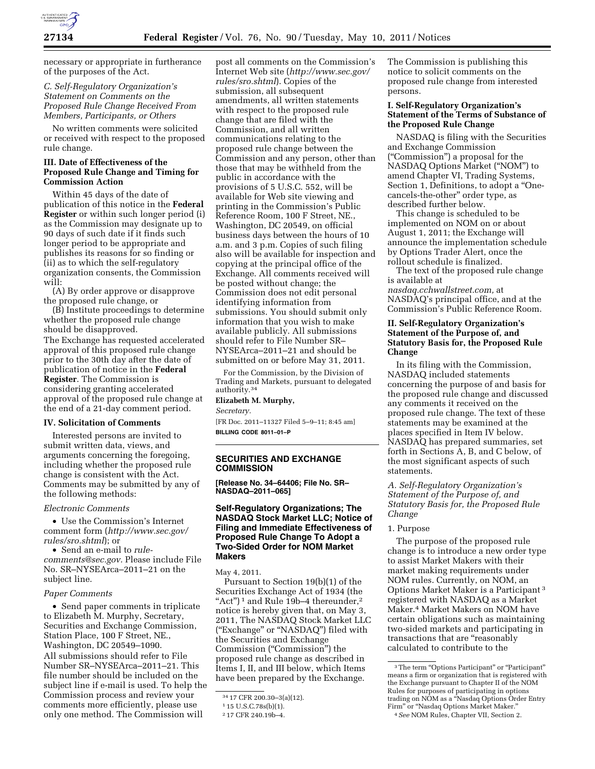

necessary or appropriate in furtherance of the purposes of the Act.

# *C. Self-Regulatory Organization's Statement on Comments on the Proposed Rule Change Received From Members, Participants, or Others*

No written comments were solicited or received with respect to the proposed rule change.

## **III. Date of Effectiveness of the Proposed Rule Change and Timing for Commission Action**

Within 45 days of the date of publication of this notice in the **Federal Register** or within such longer period (i) as the Commission may designate up to 90 days of such date if it finds such longer period to be appropriate and publishes its reasons for so finding or (ii) as to which the self-regulatory organization consents, the Commission will:

(A) By order approve or disapprove the proposed rule change, or

(B) Institute proceedings to determine whether the proposed rule change should be disapproved. The Exchange has requested accelerated approval of this proposed rule change prior to the 30th day after the date of publication of notice in the **Federal Register**. The Commission is considering granting accelerated approval of the proposed rule change at the end of a 21-day comment period.

#### **IV. Solicitation of Comments**

Interested persons are invited to submit written data, views, and arguments concerning the foregoing, including whether the proposed rule change is consistent with the Act. Comments may be submitted by any of the following methods:

#### *Electronic Comments*

• Use the Commission's Internet comment form (*[http://www.sec.gov/](http://www.sec.gov/rules/sro.shtml)  [rules/sro.shtml](http://www.sec.gov/rules/sro.shtml)*); or

• Send an e-mail to *[rule](mailto:rule-comments@sec.gov)[comments@sec.gov.](mailto:rule-comments@sec.gov)* Please include File No. SR–NYSEArca–2011–21 on the subject line.

#### *Paper Comments*

• Send paper comments in triplicate to Elizabeth M. Murphy, Secretary, Securities and Exchange Commission, Station Place, 100 F Street, NE., Washington, DC 20549–1090. All submissions should refer to File Number SR–NYSEArca–2011–21. This file number should be included on the subject line if e-mail is used. To help the Commission process and review your comments more efficiently, please use

only one method. The Commission will

post all comments on the Commission's Internet Web site (*[http://www.sec.gov/](http://www.sec.gov/rules/sro.shtml)  [rules/sro.shtml](http://www.sec.gov/rules/sro.shtml)*). Copies of the submission, all subsequent amendments, all written statements with respect to the proposed rule change that are filed with the Commission, and all written communications relating to the proposed rule change between the Commission and any person, other than those that may be withheld from the public in accordance with the provisions of 5 U.S.C. 552, will be available for Web site viewing and printing in the Commission's Public Reference Room, 100 F Street, NE., Washington, DC 20549, on official business days between the hours of 10 a.m. and 3 p.m. Copies of such filing also will be available for inspection and copying at the principal office of the Exchange. All comments received will be posted without change; the Commission does not edit personal identifying information from submissions. You should submit only information that you wish to make available publicly. All submissions should refer to File Number SR– NYSEArca–2011–21 and should be submitted on or before May 31, 2011.

For the Commission, by the Division of Trading and Markets, pursuant to delegated authority.34

# **Elizabeth M. Murphy,**

*Secretary.* 

[FR Doc. 2011–11327 Filed 5–9–11; 8:45 am] **BILLING CODE 8011–01–P** 

# **SECURITIES AND EXCHANGE COMMISSION**

**[Release No. 34–64406; File No. SR– NASDAQ–2011–065]** 

# **Self-Regulatory Organizations; The NASDAQ Stock Market LLC; Notice of Filing and Immediate Effectiveness of Proposed Rule Change To Adopt a Two-Sided Order for NOM Market Makers**

May 4, 2011.

Pursuant to Section 19(b)(1) of the Securities Exchange Act of 1934 (the "Act")<sup>1</sup> and Rule 19b-4 thereunder,<sup>2</sup> notice is hereby given that, on May 3, 2011, The NASDAQ Stock Market LLC (''Exchange'' or ''NASDAQ'') filed with the Securities and Exchange Commission (''Commission'') the proposed rule change as described in Items I, II, and III below, which Items have been prepared by the Exchange.

The Commission is publishing this notice to solicit comments on the proposed rule change from interested persons.

# **I. Self-Regulatory Organization's Statement of the Terms of Substance of the Proposed Rule Change**

NASDAQ is filing with the Securities and Exchange Commission (''Commission'') a proposal for the NASDAQ Options Market (''NOM'') to amend Chapter VI, Trading Systems, Section 1, Definitions, to adopt a "Onecancels-the-other'' order type, as described further below.

This change is scheduled to be implemented on NOM on or about August 1, 2011; the Exchange will announce the implementation schedule by Options Trader Alert, once the rollout schedule is finalized.

The text of the proposed rule change is available at

*nasdaq.cchwallstreet.com,* at NASDAQ's principal office, and at the Commission's Public Reference Room.

# **II. Self-Regulatory Organization's Statement of the Purpose of, and Statutory Basis for, the Proposed Rule Change**

In its filing with the Commission, NASDAQ included statements concerning the purpose of and basis for the proposed rule change and discussed any comments it received on the proposed rule change. The text of these statements may be examined at the places specified in Item IV below. NASDAQ has prepared summaries, set forth in Sections A, B, and C below, of the most significant aspects of such statements.

*A. Self-Regulatory Organization's Statement of the Purpose of, and Statutory Basis for, the Proposed Rule Change* 

### 1. Purpose

The purpose of the proposed rule change is to introduce a new order type to assist Market Makers with their market making requirements under NOM rules. Currently, on NOM, an Options Market Maker is a Participant 3 registered with NASDAQ as a Market Maker.4 Market Makers on NOM have certain obligations such as maintaining two-sided markets and participating in transactions that are "reasonably calculated to contribute to the

<sup>34</sup> 17 CFR 200.30–3(a)(12).

<sup>1</sup> 15 U.S.C.78s(b)(1).

<sup>2</sup> 17 CFR 240.19b–4.

<sup>&</sup>lt;sup>3</sup>The term "Options Participant" or "Participant" means a firm or organization that is registered with the Exchange pursuant to Chapter II of the NOM Rules for purposes of participating in options trading on NOM as a ''Nasdaq Options Order Entry Firm'' or ''Nasdaq Options Market Maker.'' 4*See* NOM Rules, Chapter VII, Section 2.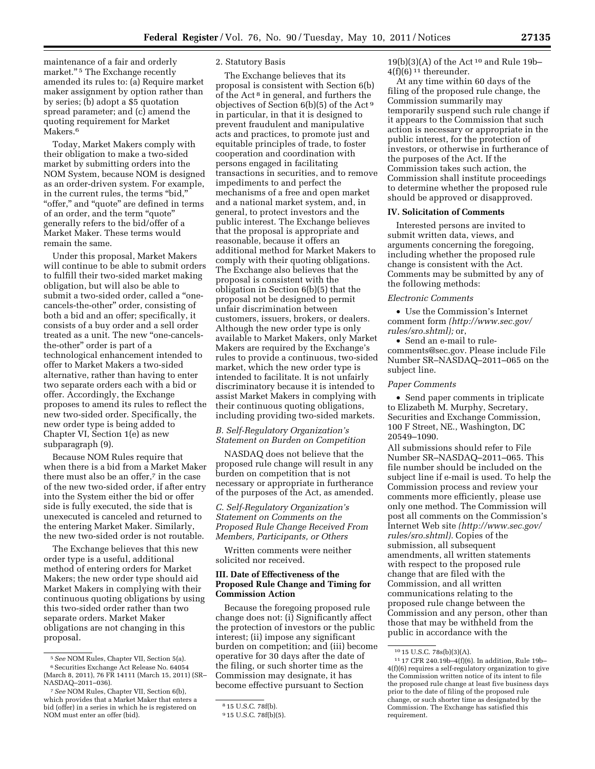maintenance of a fair and orderly market."<sup>5</sup> The Exchange recently amended its rules to: (a) Require market maker assignment by option rather than by series; (b) adopt a \$5 quotation spread parameter; and (c) amend the quoting requirement for Market Makers.<sup>6</sup>

Today, Market Makers comply with their obligation to make a two-sided market by submitting orders into the NOM System, because NOM is designed as an order-driven system. For example, in the current rules, the terms ''bid,'' "offer," and "quote" are defined in terms of an order, and the term "quote" generally refers to the bid/offer of a Market Maker. These terms would remain the same.

Under this proposal, Market Makers will continue to be able to submit orders to fulfill their two-sided market making obligation, but will also be able to submit a two-sided order, called a ''onecancels-the-other'' order, consisting of both a bid and an offer; specifically, it consists of a buy order and a sell order treated as a unit. The new "one-cancelsthe-other'' order is part of a technological enhancement intended to offer to Market Makers a two-sided alternative, rather than having to enter two separate orders each with a bid or offer. Accordingly, the Exchange proposes to amend its rules to reflect the new two-sided order. Specifically, the new order type is being added to Chapter VI, Section 1(e) as new subparagraph (9).

Because NOM Rules require that when there is a bid from a Market Maker there must also be an offer,<sup>7</sup> in the case of the new two-sided order, if after entry into the System either the bid or offer side is fully executed, the side that is unexecuted is canceled and returned to the entering Market Maker. Similarly, the new two-sided order is not routable.

The Exchange believes that this new order type is a useful, additional method of entering orders for Market Makers; the new order type should aid Market Makers in complying with their continuous quoting obligations by using this two-sided order rather than two separate orders. Market Maker obligations are not changing in this proposal.

### 2. Statutory Basis

The Exchange believes that its proposal is consistent with Section 6(b) of the Act 8 in general, and furthers the objectives of Section 6(b)(5) of the Act 9 in particular, in that it is designed to prevent fraudulent and manipulative acts and practices, to promote just and equitable principles of trade, to foster cooperation and coordination with persons engaged in facilitating transactions in securities, and to remove impediments to and perfect the mechanisms of a free and open market and a national market system, and, in general, to protect investors and the public interest. The Exchange believes that the proposal is appropriate and reasonable, because it offers an additional method for Market Makers to comply with their quoting obligations. The Exchange also believes that the proposal is consistent with the obligation in Section 6(b)(5) that the proposal not be designed to permit unfair discrimination between customers, issuers, brokers, or dealers. Although the new order type is only available to Market Makers, only Market Makers are required by the Exchange's rules to provide a continuous, two-sided market, which the new order type is intended to facilitate. It is not unfairly discriminatory because it is intended to assist Market Makers in complying with their continuous quoting obligations, including providing two-sided markets.

# *B. Self-Regulatory Organization's Statement on Burden on Competition*

NASDAQ does not believe that the proposed rule change will result in any burden on competition that is not necessary or appropriate in furtherance of the purposes of the Act, as amended.

# *C. Self-Regulatory Organization's Statement on Comments on the Proposed Rule Change Received From Members, Participants, or Others*

Written comments were neither solicited nor received.

# **III. Date of Effectiveness of the Proposed Rule Change and Timing for Commission Action**

Because the foregoing proposed rule change does not: (i) Significantly affect the protection of investors or the public interest; (ii) impose any significant burden on competition; and (iii) become operative for 30 days after the date of the filing, or such shorter time as the Commission may designate, it has become effective pursuant to Section

 $19(b)(3)(A)$  of the Act<sup>10</sup> and Rule 19b- $4(f)(6)^{11}$  thereunder.

At any time within 60 days of the filing of the proposed rule change, the Commission summarily may temporarily suspend such rule change if it appears to the Commission that such action is necessary or appropriate in the public interest, for the protection of investors, or otherwise in furtherance of the purposes of the Act. If the Commission takes such action, the Commission shall institute proceedings to determine whether the proposed rule should be approved or disapproved.

#### **IV. Solicitation of Comments**

Interested persons are invited to submit written data, views, and arguments concerning the foregoing, including whether the proposed rule change is consistent with the Act. Comments may be submitted by any of the following methods:

### *Electronic Comments*

• Use the Commission's Internet comment form *([http://www.sec.gov/](http://www.sec.gov/rules/sro.shtml)  [rules/sro.shtml\);](http://www.sec.gov/rules/sro.shtml)* or,

• Send an e-mail to [rule](mailto:rule-comments@sec.gov)[comments@sec.gov.](mailto:rule-comments@sec.gov) Please include File Number SR–NASDAQ–2011–065 on the subject line.

### *Paper Comments*

• Send paper comments in triplicate to Elizabeth M. Murphy, Secretary, Securities and Exchange Commission, 100 F Street, NE., Washington, DC 20549–1090.

All submissions should refer to File Number SR–NASDAQ–2011–065. This file number should be included on the subject line if e-mail is used. To help the Commission process and review your comments more efficiently, please use only one method. The Commission will post all comments on the Commission's Internet Web site *([http://www.sec.gov/](http://www.sec.gov/rules/sro.shtml)  [rules/sro.shtml\).](http://www.sec.gov/rules/sro.shtml)* Copies of the submission, all subsequent amendments, all written statements with respect to the proposed rule change that are filed with the Commission, and all written communications relating to the proposed rule change between the Commission and any person, other than those that may be withheld from the public in accordance with the

<sup>5</sup>*See* NOM Rules, Chapter VII, Section 5(a). 6Securities Exchange Act Release No. 64054 (March 8, 2011), 76 FR 14111 (March 15, 2011) (SR– NASDAQ–2011–036).

<sup>7</sup>*See* NOM Rules, Chapter VII, Section 6(b), which provides that a Market Maker that enters a bid (offer) in a series in which he is registered on NOM must enter an offer (bid).

<sup>8</sup> 15 U.S.C. 78f(b).

<sup>9</sup> 15 U.S.C. 78f(b)(5).

<sup>10</sup> 15 U.S.C. 78s(b)(3)(A).

<sup>11</sup> 17 CFR 240.19b–4(f)(6). In addition, Rule 19b– 4(f)(6) requires a self-regulatory organization to give the Commission written notice of its intent to file the proposed rule change at least five business days prior to the date of filing of the proposed rule change, or such shorter time as designated by the Commission. The Exchange has satisfied this requirement.